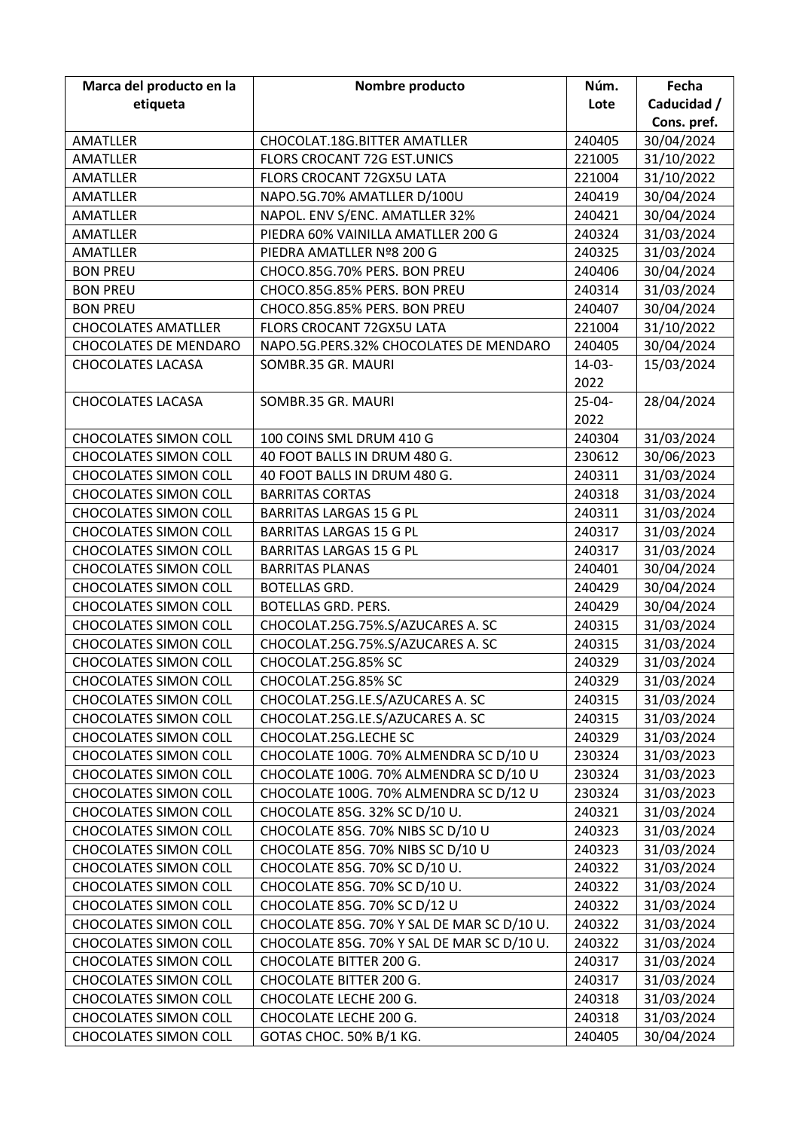| Marca del producto en la     | Nombre producto                            | Núm.        | Fecha       |
|------------------------------|--------------------------------------------|-------------|-------------|
| etiqueta                     |                                            | Lote        | Caducidad / |
|                              |                                            |             | Cons. pref. |
| AMATLLER                     | CHOCOLAT.18G.BITTER AMATLLER               | 240405      | 30/04/2024  |
| <b>AMATLLER</b>              | FLORS CROCANT 72G EST.UNICS                | 221005      | 31/10/2022  |
| <b>AMATLLER</b>              | FLORS CROCANT 72GX5U LATA                  | 221004      | 31/10/2022  |
| <b>AMATLLER</b>              | NAPO.5G.70% AMATLLER D/100U                | 240419      | 30/04/2024  |
| AMATLLER                     | NAPOL. ENV S/ENC. AMATLLER 32%             | 240421      | 30/04/2024  |
| <b>AMATLLER</b>              | PIEDRA 60% VAINILLA AMATLLER 200 G         | 240324      | 31/03/2024  |
| <b>AMATLLER</b>              | PIEDRA AMATLLER Nº8 200 G                  | 240325      | 31/03/2024  |
| <b>BON PREU</b>              | CHOCO.85G.70% PERS. BON PREU               | 240406      | 30/04/2024  |
| <b>BON PREU</b>              | CHOCO.85G.85% PERS. BON PREU               | 240314      | 31/03/2024  |
| <b>BON PREU</b>              | CHOCO.85G.85% PERS. BON PREU               | 240407      | 30/04/2024  |
| <b>CHOCOLATES AMATLLER</b>   | FLORS CROCANT 72GX5U LATA                  | 221004      | 31/10/2022  |
| <b>CHOCOLATES DE MENDARO</b> | NAPO.5G.PERS.32% CHOCOLATES DE MENDARO     | 240405      | 30/04/2024  |
| <b>CHOCOLATES LACASA</b>     | SOMBR.35 GR. MAURI                         | $14-03-$    | 15/03/2024  |
|                              |                                            | 2022        |             |
| <b>CHOCOLATES LACASA</b>     | SOMBR.35 GR. MAURI                         | $25 - 04 -$ | 28/04/2024  |
|                              |                                            | 2022        |             |
| <b>CHOCOLATES SIMON COLL</b> | 100 COINS SML DRUM 410 G                   | 240304      | 31/03/2024  |
| <b>CHOCOLATES SIMON COLL</b> | 40 FOOT BALLS IN DRUM 480 G.               | 230612      | 30/06/2023  |
| <b>CHOCOLATES SIMON COLL</b> | 40 FOOT BALLS IN DRUM 480 G.               | 240311      | 31/03/2024  |
| <b>CHOCOLATES SIMON COLL</b> | <b>BARRITAS CORTAS</b>                     | 240318      | 31/03/2024  |
| <b>CHOCOLATES SIMON COLL</b> | <b>BARRITAS LARGAS 15 G PL</b>             | 240311      | 31/03/2024  |
| <b>CHOCOLATES SIMON COLL</b> | <b>BARRITAS LARGAS 15 G PL</b>             | 240317      | 31/03/2024  |
| <b>CHOCOLATES SIMON COLL</b> | <b>BARRITAS LARGAS 15 G PL</b>             | 240317      | 31/03/2024  |
| <b>CHOCOLATES SIMON COLL</b> | <b>BARRITAS PLANAS</b>                     | 240401      | 30/04/2024  |
| <b>CHOCOLATES SIMON COLL</b> | <b>BOTELLAS GRD.</b>                       | 240429      | 30/04/2024  |
| <b>CHOCOLATES SIMON COLL</b> | <b>BOTELLAS GRD. PERS.</b>                 | 240429      | 30/04/2024  |
| <b>CHOCOLATES SIMON COLL</b> | CHOCOLAT.25G.75%.S/AZUCARES A. SC          | 240315      | 31/03/2024  |
| <b>CHOCOLATES SIMON COLL</b> | CHOCOLAT.25G.75%.S/AZUCARES A. SC          | 240315      | 31/03/2024  |
| <b>CHOCOLATES SIMON COLL</b> | CHOCOLAT.25G.85% SC                        | 240329      | 31/03/2024  |
| <b>CHOCOLATES SIMON COLL</b> | CHOCOLAT.25G.85% SC                        | 240329      | 31/03/2024  |
| <b>CHOCOLATES SIMON COLL</b> | CHOCOLAT.25G.LE.S/AZUCARES A. SC           | 240315      | 31/03/2024  |
| <b>CHOCOLATES SIMON COLL</b> | CHOCOLAT.25G.LE.S/AZUCARES A. SC           | 240315      | 31/03/2024  |
| <b>CHOCOLATES SIMON COLL</b> | CHOCOLAT.25G.LECHE SC                      | 240329      | 31/03/2024  |
| <b>CHOCOLATES SIMON COLL</b> | CHOCOLATE 100G. 70% ALMENDRA SC D/10 U     | 230324      | 31/03/2023  |
| <b>CHOCOLATES SIMON COLL</b> | CHOCOLATE 100G. 70% ALMENDRA SC D/10 U     | 230324      | 31/03/2023  |
| <b>CHOCOLATES SIMON COLL</b> | CHOCOLATE 100G. 70% ALMENDRA SC D/12 U     | 230324      | 31/03/2023  |
| <b>CHOCOLATES SIMON COLL</b> | CHOCOLATE 85G. 32% SC D/10 U.              | 240321      | 31/03/2024  |
| <b>CHOCOLATES SIMON COLL</b> | CHOCOLATE 85G. 70% NIBS SC D/10 U          | 240323      | 31/03/2024  |
| <b>CHOCOLATES SIMON COLL</b> | CHOCOLATE 85G. 70% NIBS SC D/10 U          | 240323      | 31/03/2024  |
| <b>CHOCOLATES SIMON COLL</b> | CHOCOLATE 85G. 70% SC D/10 U.              | 240322      | 31/03/2024  |
| <b>CHOCOLATES SIMON COLL</b> | CHOCOLATE 85G. 70% SC D/10 U.              | 240322      | 31/03/2024  |
| <b>CHOCOLATES SIMON COLL</b> | CHOCOLATE 85G. 70% SC D/12 U               | 240322      | 31/03/2024  |
| <b>CHOCOLATES SIMON COLL</b> | CHOCOLATE 85G. 70% Y SAL DE MAR SC D/10 U. | 240322      | 31/03/2024  |
| <b>CHOCOLATES SIMON COLL</b> | CHOCOLATE 85G. 70% Y SAL DE MAR SC D/10 U. | 240322      | 31/03/2024  |
| <b>CHOCOLATES SIMON COLL</b> | CHOCOLATE BITTER 200 G.                    | 240317      | 31/03/2024  |
| <b>CHOCOLATES SIMON COLL</b> | CHOCOLATE BITTER 200 G.                    | 240317      | 31/03/2024  |
| <b>CHOCOLATES SIMON COLL</b> | CHOCOLATE LECHE 200 G.                     | 240318      | 31/03/2024  |
| <b>CHOCOLATES SIMON COLL</b> | CHOCOLATE LECHE 200 G.                     | 240318      | 31/03/2024  |
| <b>CHOCOLATES SIMON COLL</b> | GOTAS CHOC. 50% B/1 KG.                    | 240405      | 30/04/2024  |